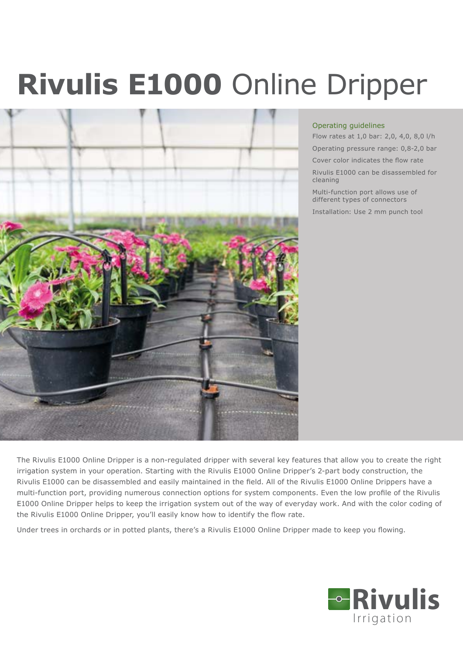# **Rivulis E1000** Online Dripper



### Operating guidelines

Flow rates at 1,0 bar: 2,0, 4,0, 8,0 l/h Operating pressure range: 0,8-2,0 bar

Cover color indicates the flow rate

Rivulis E1000 can be disassembled for cleaning

Multi-function port allows use of different types of connectors

Installation: Use 2 mm punch tool

The Rivulis E1000 Online Dripper is a non-regulated dripper with several key features that allow you to create the right irrigation system in your operation. Starting with the Rivulis E1000 Online Dripper's 2-part body construction, the Rivulis E1000 can be disassembled and easily maintained in the field. All of the Rivulis E1000 Online Drippers have a multi-function port, providing numerous connection options for system components. Even the low profile of the Rivulis E1000 Online Dripper helps to keep the irrigation system out of the way of everyday work. And with the color coding of the Rivulis E1000 Online Dripper, you'll easily know how to identify the flow rate.

Under trees in orchards or in potted plants, there's a Rivulis E1000 Online Dripper made to keep you flowing.